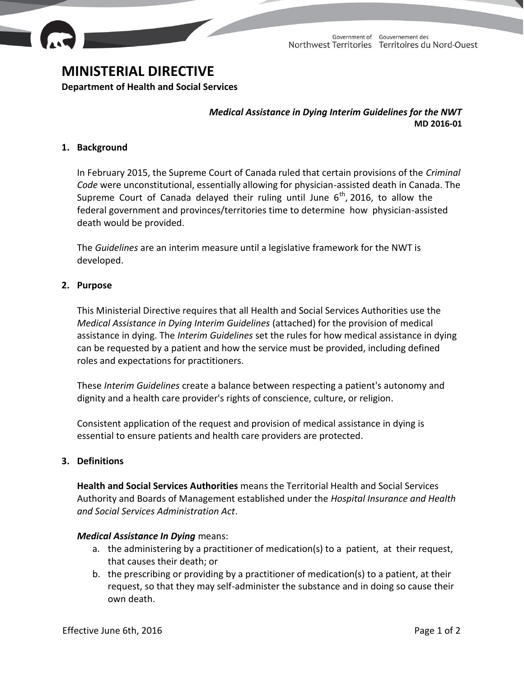

# **MINISTERIAL DIRECTIVE**

**Department of Health and Social Services**

*Medical Assistance in Dying Interim Guidelines for the NWT* **MD 2016-01**

## **1. Background**

In February 2015, the Supreme Court of Canada ruled that certain provisions of the *Criminal Code* were unconstitutional, essentially allowing for physician-assisted death in Canada. The Supreme Court of Canada delayed their ruling until June  $6<sup>th</sup>$ , 2016, to allow the federal government and provinces/territories time to determine how physician-assisted death would be provided.

The *Guidelines* are an interim measure until a legislative framework for the NWT is developed.

#### **2. Purpose**

This Ministerial Directive requires that all Health and Social Services Authorities use the *Medical Assistance in Dying Interim Guidelines* (attached) for the provision of medical assistance in dying. The *Interim Guidelines* set the rules for how medical assistance in dying can be requested by a patient and how the service must be provided, including defined roles and expectations for practitioners.

These *Interim Guidelines* create a balance between respecting a patient's autonomy and dignity and a health care provider's rights of conscience, culture, or religion.

Consistent application of the request and provision of medical assistance in dying is essential to ensure patients and health care providers are protected.

## **3. Definitions**

**Health and Social Services Authorities** means the Territorial Health and Social Services Authority and Boards of Management established under the *Hospital Insurance and Health and Social Services Administration Act*.

## *Medical Assistance In Dying* means:

- a. the administering by a practitioner of medication(s) to a patient, at their request, that causes their death; or
- b. the prescribing or providing by a practitioner of medication(s) to a patient, at their request, so that they may self-administer the substance and in doing so cause their own death.